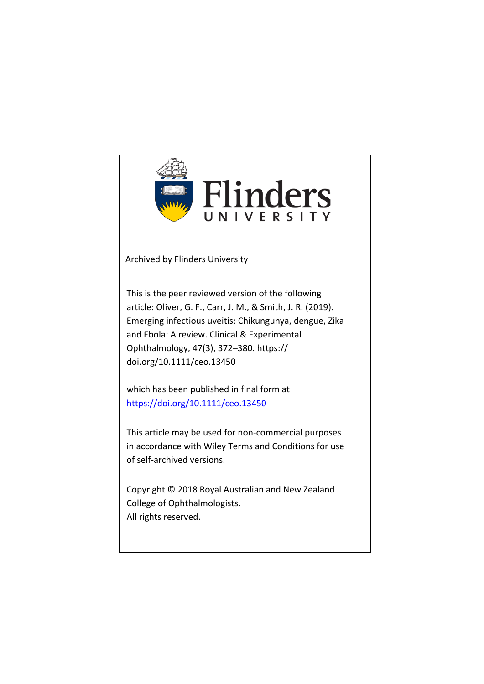

Archived by Flinders University

This is the peer reviewed version of the following article: Oliver, G. F., Carr, J. M., & Smith, J. R. (2019). Emerging infectious uveitis: Chikungunya, dengue, Zika and Ebola: A review. Clinical & Experimental Ophthalmology, 47(3), 372–380. https:// doi.org/10.1111/ceo.13450

which has been published in final form at https://doi.org/10.1111/ceo.13450

This article may be used for non-commercial purposes in accordance with Wiley Terms and Conditions for use of self-archived versions.

Copyright © 2018 Royal Australian and New Zealand College of Ophthalmologists. All rights reserved.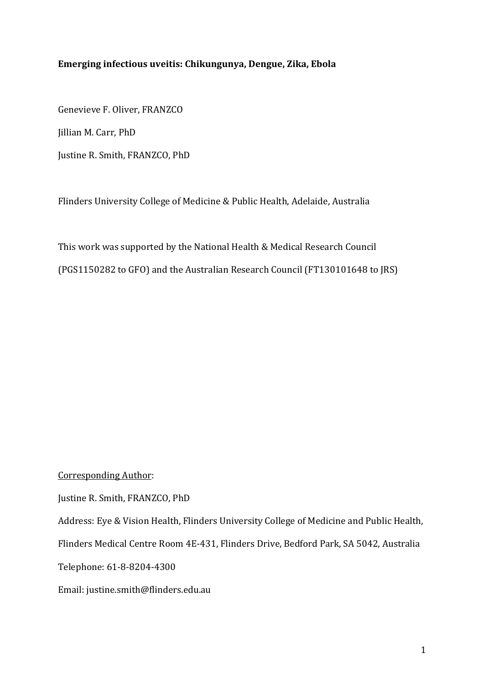# Emerging infectious uveitis: Chikungunya, Dengue, Zika, Ebola

Genevieve F. Oliver, FRANZCO Jillian M. Carr, PhD Justine R. Smith, FRANZCO, PhD

Flinders University College of Medicine & Public Health, Adelaide, Australia

This work was supported by the National Health & Medical Research Council (PGS1150282 to GFO) and the Australian Research Council (FT130101648 to JRS)

Corresponding Author:

Justine R. Smith, FRANZCO, PhD

Address: Eye & Vision Health, Flinders University College of Medicine and Public Health,

Flinders Medical Centre Room 4E-431, Flinders Drive, Bedford Park, SA 5042, Australia

Telephone: 61-8-8204-4300

Email: justine.smith@flinders.edu.au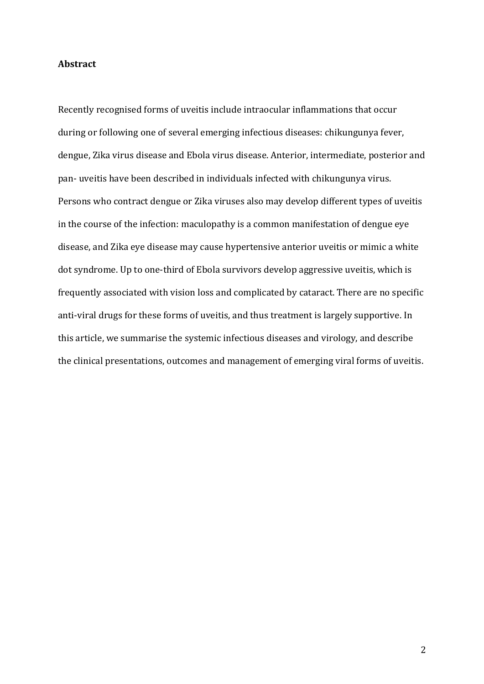## **Abstract**

Recently recognised forms of uveitis include intraocular inflammations that occur during or following one of several emerging infectious diseases: chikungunya fever, dengue, Zika virus disease and Ebola virus disease. Anterior, intermediate, posterior and pan- uveitis have been described in individuals infected with chikungunya virus. Persons who contract dengue or Zika viruses also may develop different types of uveitis in the course of the infection: maculopathy is a common manifestation of dengue eye disease, and Zika eye disease may cause hypertensive anterior uveitis or mimic a white dot syndrome. Up to one-third of Ebola survivors develop aggressive uveitis, which is frequently associated with vision loss and complicated by cataract. There are no specific anti-viral drugs for these forms of uveitis, and thus treatment is largely supportive. In this article, we summarise the systemic infectious diseases and virology, and describe the clinical presentations, outcomes and management of emerging viral forms of uveitis.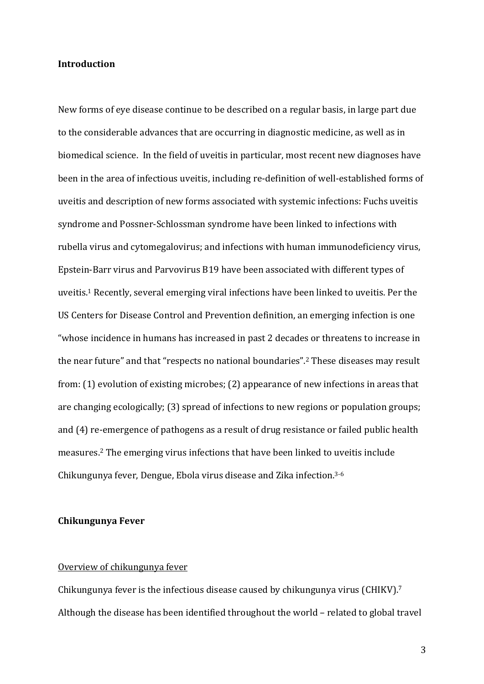## **Introduction**

New forms of eye disease continue to be described on a regular basis, in large part due to the considerable advances that are occurring in diagnostic medicine, as well as in biomedical science. In the field of uveitis in particular, most recent new diagnoses have been in the area of infectious uveitis, including re-definition of well-established forms of uveitis and description of new forms associated with systemic infections: Fuchs uveitis syndrome and Possner-Schlossman syndrome have been linked to infections with rubella virus and cytomegalovirus; and infections with human immunodeficiency virus, Epstein-Barr virus and Parvovirus B19 have been associated with different types of uveitis.<sup>1</sup> Recently, several emerging viral infections have been linked to uveitis. Per the US Centers for Disease Control and Prevention definition, an emerging infection is one "whose incidence in humans has increased in past 2 decades or threatens to increase in the near future" and that "respects no national boundaries".<sup>2</sup> These diseases may result from:  $(1)$  evolution of existing microbes;  $(2)$  appearance of new infections in areas that are changing ecologically; (3) spread of infections to new regions or population groups; and (4) re-emergence of pathogens as a result of drug resistance or failed public health measures.<sup>2</sup> The emerging virus infections that have been linked to uveitis include Chikungunya fever, Dengue, Ebola virus disease and Zika infection.<sup>3-6</sup>

# **Chikungunya Fever**

## Overview of chikungunya fever

Chikungunya fever is the infectious disease caused by chikungunya virus (CHIKV).<sup>7</sup> Although the disease has been identified throughout the world – related to global travel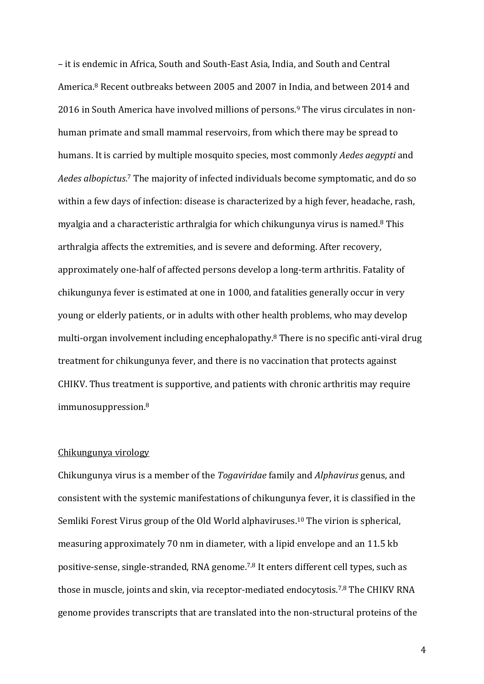– it is endemic in Africa, South and South-East Asia, India, and South and Central America.<sup>8</sup> Recent outbreaks between 2005 and 2007 in India, and between 2014 and 2016 in South America have involved millions of persons.<sup>9</sup> The virus circulates in nonhuman primate and small mammal reservoirs, from which there may be spread to humans. It is carried by multiple mosquito species, most commonly *Aedes aegypti* and Aedes albopictus.<sup>7</sup> The majority of infected individuals become symptomatic, and do so within a few days of infection: disease is characterized by a high fever, headache, rash, myalgia and a characteristic arthralgia for which chikungunya virus is named.<sup>8</sup> This arthralgia affects the extremities, and is severe and deforming. After recovery, approximately one-half of affected persons develop a long-term arthritis. Fatality of chikungunya fever is estimated at one in 1000, and fatalities generally occur in very young or elderly patients, or in adults with other health problems, who may develop multi-organ involvement including encephalopathy.<sup>8</sup> There is no specific anti-viral drug treatment for chikungunya fever, and there is no vaccination that protects against CHIKV. Thus treatment is supportive, and patients with chronic arthritis may require immunosuppression.8

# Chikungunya virology

Chikungunya virus is a member of the *Togaviridae* family and *Alphavirus* genus, and consistent with the systemic manifestations of chikungunya fever, it is classified in the Semliki Forest Virus group of the Old World alphaviruses.<sup>10</sup> The virion is spherical, measuring approximately 70 nm in diameter, with a lipid envelope and an 11.5 kb positive-sense, single-stranded, RNA genome.<sup>7,8</sup> It enters different cell types, such as those in muscle, joints and skin, via receptor-mediated endocytosis.<sup>7,8</sup> The CHIKV RNA genome provides transcripts that are translated into the non-structural proteins of the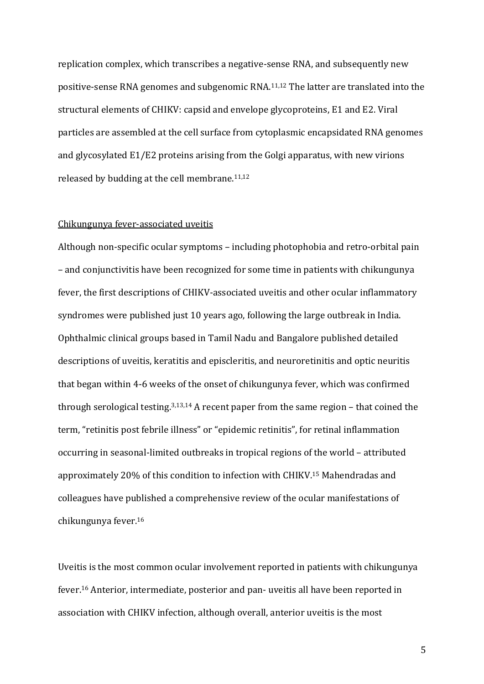replication complex, which transcribes a negative-sense RNA, and subsequently new positive-sense RNA genomes and subgenomic RNA.<sup>11,12</sup> The latter are translated into the structural elements of CHIKV: capsid and envelope glycoproteins, E1 and E2. Viral particles are assembled at the cell surface from cytoplasmic encapsidated RNA genomes and glycosylated E1/E2 proteins arising from the Golgi apparatus, with new virions released by budding at the cell membrane. $11,12$ 

# Chikungunya fever-associated uveitis

Although non-specific ocular symptoms – including photophobia and retro-orbital pain – and conjunctivitis have been recognized for some time in patients with chikungunya fever, the first descriptions of CHIKV-associated uveitis and other ocular inflammatory syndromes were published just 10 years ago, following the large outbreak in India. Ophthalmic clinical groups based in Tamil Nadu and Bangalore published detailed descriptions of uveitis, keratitis and episcleritis, and neuroretinitis and optic neuritis that began within 4-6 weeks of the onset of chikungunya fever, which was confirmed through serological testing.<sup>3,13,14</sup> A recent paper from the same region – that coined the term, "retinitis post febrile illness" or "epidemic retinitis", for retinal inflammation occurring in seasonal-limited outbreaks in tropical regions of the world - attributed approximately 20% of this condition to infection with CHIKV.<sup>15</sup> Mahendradas and colleagues have published a comprehensive review of the ocular manifestations of chikungunya fever.16

Uveitis is the most common ocular involvement reported in patients with chikungunya fever.<sup>16</sup> Anterior, intermediate, posterior and pan- uveitis all have been reported in association with CHIKV infection, although overall, anterior uveitis is the most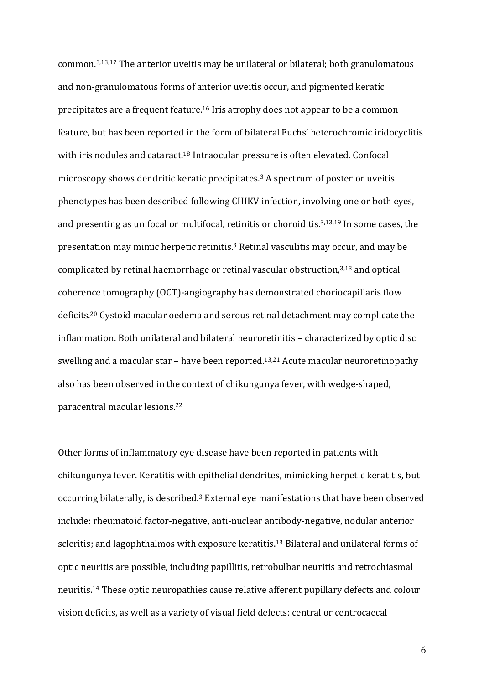common.<sup>3,13,17</sup> The anterior uveitis may be unilateral or bilateral; both granulomatous and non-granulomatous forms of anterior uveitis occur, and pigmented keratic precipitates are a frequent feature.<sup>16</sup> Iris atrophy does not appear to be a common feature, but has been reported in the form of bilateral Fuchs' heterochromic iridocyclitis with iris nodules and cataract.<sup>18</sup> Intraocular pressure is often elevated. Confocal microscopy shows dendritic keratic precipitates.<sup>3</sup> A spectrum of posterior uveitis phenotypes has been described following CHIKV infection, involving one or both eyes, and presenting as unifocal or multifocal, retinitis or choroiditis. $3,13,19$  In some cases, the presentation may mimic herpetic retinitis.<sup>3</sup> Retinal vasculitis may occur, and may be complicated by retinal haemorrhage or retinal vascular obstruction, $3,13$  and optical coherence tomography (OCT)-angiography has demonstrated choriocapillaris flow deficits.<sup>20</sup> Cystoid macular oedema and serous retinal detachment may complicate the inflammation. Both unilateral and bilateral neuroretinitis - characterized by optic disc swelling and a macular star – have been reported.<sup>13,21</sup> Acute macular neuroretinopathy also has been observed in the context of chikungunya fever, with wedge-shaped, paracentral macular lesions.<sup>22</sup>

Other forms of inflammatory eye disease have been reported in patients with chikungunya fever. Keratitis with epithelial dendrites, mimicking herpetic keratitis, but occurring bilaterally, is described.<sup>3</sup> External eye manifestations that have been observed include: rheumatoid factor-negative, anti-nuclear antibody-negative, nodular anterior scleritis; and lagophthalmos with exposure keratitis.<sup>13</sup> Bilateral and unilateral forms of optic neuritis are possible, including papillitis, retrobulbar neuritis and retrochiasmal neuritis.<sup>14</sup> These optic neuropathies cause relative afferent pupillary defects and colour vision deficits, as well as a variety of visual field defects: central or centrocaecal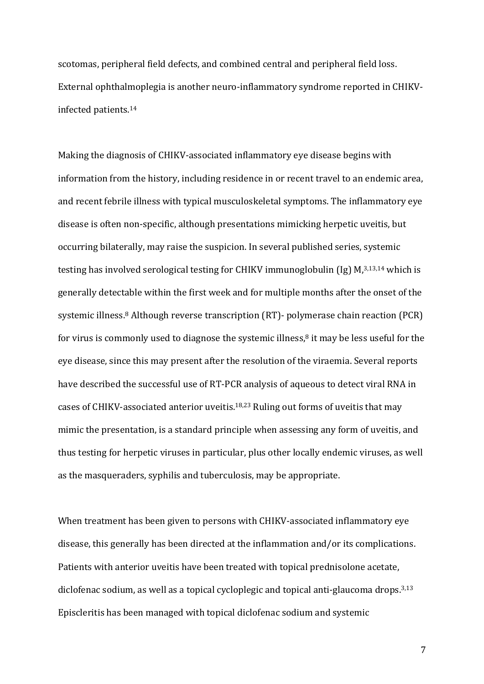scotomas, peripheral field defects, and combined central and peripheral field loss. External ophthalmoplegia is another neuro-inflammatory syndrome reported in CHIKVinfected patients.14

Making the diagnosis of CHIKV-associated inflammatory eye disease begins with information from the history, including residence in or recent travel to an endemic area, and recent febrile illness with typical musculoskeletal symptoms. The inflammatory eye disease is often non-specific, although presentations mimicking herpetic uveitis, but occurring bilaterally, may raise the suspicion. In several published series, systemic testing has involved serological testing for CHIKV immunoglobulin  $\left( \text{Ig} \right)$  M,<sup>3,13,14</sup> which is generally detectable within the first week and for multiple months after the onset of the systemic illness.<sup>8</sup> Although reverse transcription  $(RT)$ - polymerase chain reaction  $(PCR)$ for virus is commonly used to diagnose the systemic illness, $8$  it may be less useful for the eye disease, since this may present after the resolution of the viraemia. Several reports have described the successful use of RT-PCR analysis of aqueous to detect viral RNA in cases of CHIKV-associated anterior uveitis.<sup>18,23</sup> Ruling out forms of uveitis that may mimic the presentation, is a standard principle when assessing any form of uveitis, and thus testing for herpetic viruses in particular, plus other locally endemic viruses, as well as the masqueraders, syphilis and tuberculosis, may be appropriate.

When treatment has been given to persons with CHIKV-associated inflammatory eye disease, this generally has been directed at the inflammation and/or its complications. Patients with anterior uveitis have been treated with topical prednisolone acetate, diclofenac sodium, as well as a topical cycloplegic and topical anti-glaucoma drops.<sup>3,13</sup> Episcleritis has been managed with topical diclofenac sodium and systemic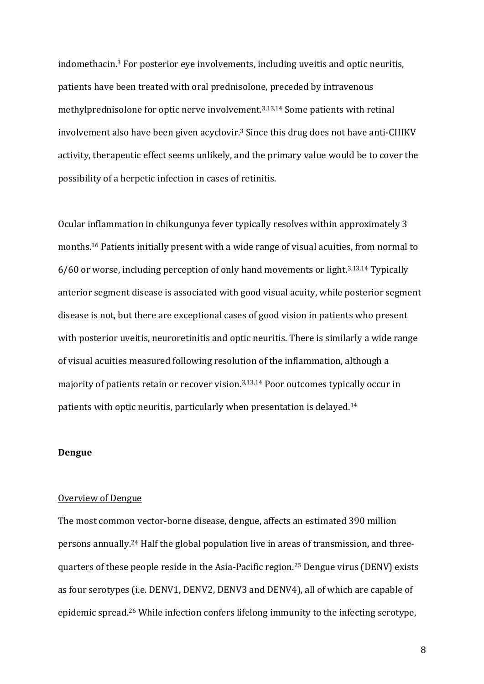indomethacin.<sup>3</sup> For posterior eye involvements, including uveitis and optic neuritis, patients have been treated with oral prednisolone, preceded by intravenous methylprednisolone for optic nerve involvement.<sup>3,13,14</sup> Some patients with retinal involvement also have been given acyclovir.<sup>3</sup> Since this drug does not have anti-CHIKV activity, therapeutic effect seems unlikely, and the primary value would be to cover the possibility of a herpetic infection in cases of retinitis.

Ocular inflammation in chikungunya fever typically resolves within approximately 3 months.<sup>16</sup> Patients initially present with a wide range of visual acuities, from normal to  $6/60$  or worse, including perception of only hand movements or light.<sup>3,13,14</sup> Typically anterior segment disease is associated with good visual acuity, while posterior segment disease is not, but there are exceptional cases of good vision in patients who present with posterior uveitis, neuroretinitis and optic neuritis. There is similarly a wide range of visual acuities measured following resolution of the inflammation, although a majority of patients retain or recover vision.<sup>3,13,14</sup> Poor outcomes typically occur in patients with optic neuritis, particularly when presentation is delayed.<sup>14</sup>

# **Dengue**

## Overview of Dengue

The most common vector-borne disease, dengue, affects an estimated 390 million persons annually.<sup>24</sup> Half the global population live in areas of transmission, and threequarters of these people reside in the Asia-Pacific region.<sup>25</sup> Dengue virus (DENV) exists as four serotypes (i.e. DENV1, DENV2, DENV3 and DENV4), all of which are capable of epidemic spread.<sup>26</sup> While infection confers lifelong immunity to the infecting serotype,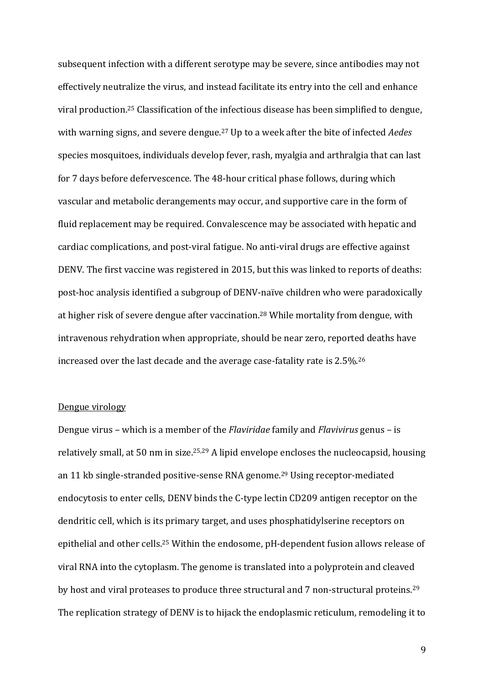subsequent infection with a different serotype may be severe, since antibodies may not effectively neutralize the virus, and instead facilitate its entry into the cell and enhance viral production.<sup>25</sup> Classification of the infectious disease has been simplified to dengue, with warning signs, and severe dengue.<sup>27</sup> Up to a week after the bite of infected *Aedes* species mosquitoes, individuals develop fever, rash, myalgia and arthralgia that can last for 7 days before defervescence. The 48-hour critical phase follows, during which vascular and metabolic derangements may occur, and supportive care in the form of fluid replacement may be required. Convalescence may be associated with hepatic and cardiac complications, and post-viral fatigue. No anti-viral drugs are effective against DENV. The first vaccine was registered in 2015, but this was linked to reports of deaths: post-hoc analysis identified a subgroup of DENV-naïve children who were paradoxically at higher risk of severe dengue after vaccination.<sup>28</sup> While mortality from dengue, with intravenous rehydration when appropriate, should be near zero, reported deaths have increased over the last decade and the average case-fatality rate is  $2.5\%$ .<sup>26</sup>

# Dengue virology

Dengue virus – which is a member of the *Flaviridae* family and *Flavivirus* genus – is relatively small, at 50 nm in size.<sup>25,29</sup> A lipid envelope encloses the nucleocapsid, housing an 11 kb single-stranded positive-sense RNA genome.<sup>29</sup> Using receptor-mediated endocytosis to enter cells, DENV binds the C-type lectin CD209 antigen receptor on the dendritic cell, which is its primary target, and uses phosphatidylserine receptors on epithelial and other cells.<sup>25</sup> Within the endosome, pH-dependent fusion allows release of viral RNA into the cytoplasm. The genome is translated into a polyprotein and cleaved by host and viral proteases to produce three structural and  $7$  non-structural proteins. $^{29}$ The replication strategy of DENV is to hijack the endoplasmic reticulum, remodeling it to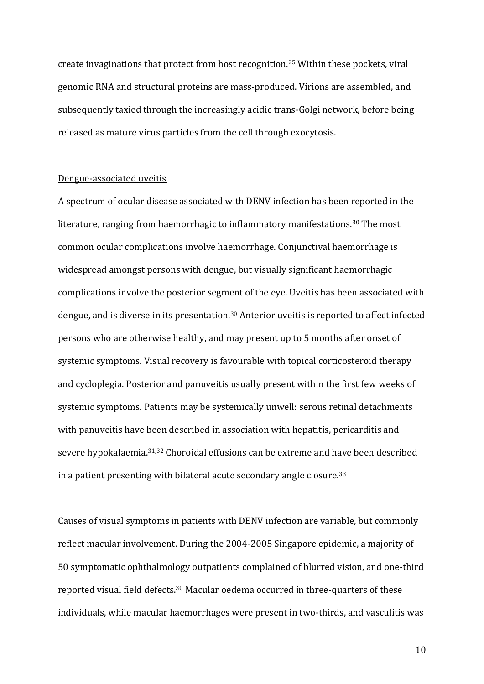create invaginations that protect from host recognition.<sup>25</sup> Within these pockets, viral genomic RNA and structural proteins are mass-produced. Virions are assembled, and subsequently taxied through the increasingly acidic trans-Golgi network, before being released as mature virus particles from the cell through exocytosis.

#### Dengue-associated uveitis

A spectrum of ocular disease associated with DENV infection has been reported in the literature, ranging from haemorrhagic to inflammatory manifestations.<sup>30</sup> The most common ocular complications involve haemorrhage. Conjunctival haemorrhage is widespread amongst persons with dengue, but visually significant haemorrhagic complications involve the posterior segment of the eye. Uveitis has been associated with dengue, and is diverse in its presentation.<sup>30</sup> Anterior uveitis is reported to affect infected persons who are otherwise healthy, and may present up to 5 months after onset of systemic symptoms. Visual recovery is favourable with topical corticosteroid therapy and cycloplegia. Posterior and panuveitis usually present within the first few weeks of systemic symptoms. Patients may be systemically unwell: serous retinal detachments with panuveitis have been described in association with hepatitis, pericarditis and severe hypokalaemia.<sup>31,32</sup> Choroidal effusions can be extreme and have been described in a patient presenting with bilateral acute secondary angle closure. $^{33}$ 

Causes of visual symptoms in patients with DENV infection are variable, but commonly reflect macular involvement. During the 2004-2005 Singapore epidemic, a majority of 50 symptomatic ophthalmology outpatients complained of blurred vision, and one-third reported visual field defects.<sup>30</sup> Macular oedema occurred in three-quarters of these individuals, while macular haemorrhages were present in two-thirds, and vasculitis was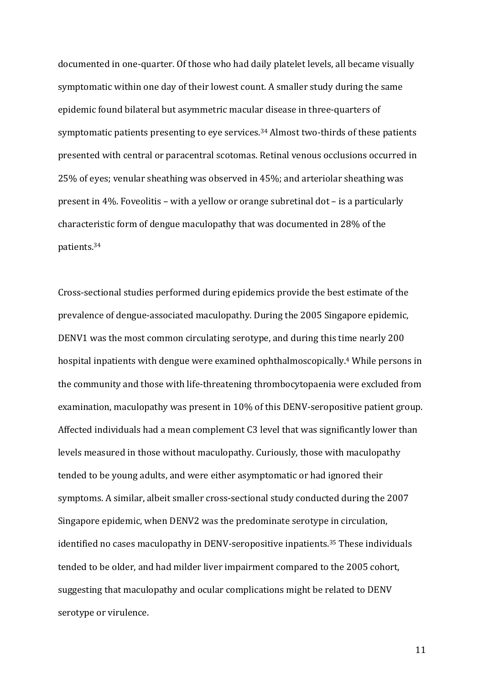documented in one-quarter. Of those who had daily platelet levels, all became visually symptomatic within one day of their lowest count. A smaller study during the same epidemic found bilateral but asymmetric macular disease in three-quarters of symptomatic patients presenting to eye services.<sup>34</sup> Almost two-thirds of these patients presented with central or paracentral scotomas. Retinal venous occlusions occurred in 25% of eyes; venular sheathing was observed in 45%; and arteriolar sheathing was present in 4%. Foveolitis – with a yellow or orange subretinal  $dot -$  is a particularly characteristic form of dengue maculopathy that was documented in 28% of the patients. 34

Cross-sectional studies performed during epidemics provide the best estimate of the prevalence of dengue-associated maculopathy. During the 2005 Singapore epidemic, DENV1 was the most common circulating serotype, and during this time nearly 200 hospital inpatients with dengue were examined ophthalmoscopically.<sup>4</sup> While persons in the community and those with life-threatening thrombocytopaenia were excluded from examination, maculopathy was present in 10% of this DENV-seropositive patient group. Affected individuals had a mean complement C3 level that was significantly lower than levels measured in those without maculopathy. Curiously, those with maculopathy tended to be young adults, and were either asymptomatic or had ignored their symptoms. A similar, albeit smaller cross-sectional study conducted during the 2007 Singapore epidemic, when DENV2 was the predominate serotype in circulation, identified no cases maculopathy in DENV-seropositive inpatients.<sup>35</sup> These individuals tended to be older, and had milder liver impairment compared to the 2005 cohort, suggesting that maculopathy and ocular complications might be related to DENV serotype or virulence.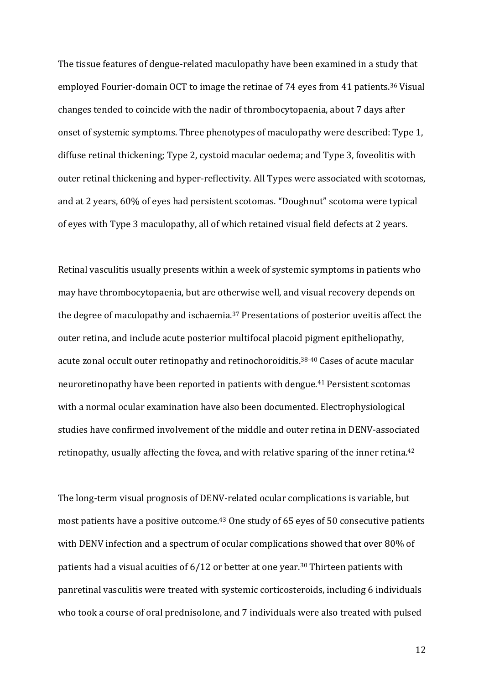The tissue features of dengue-related maculopathy have been examined in a study that employed Fourier-domain OCT to image the retinae of 74 eyes from 41 patients.<sup>36</sup> Visual changes tended to coincide with the nadir of thrombocytopaenia, about 7 days after onset of systemic symptoms. Three phenotypes of maculopathy were described: Type 1, diffuse retinal thickening; Type 2, cystoid macular oedema; and Type 3, foveolitis with outer retinal thickening and hyper-reflectivity. All Types were associated with scotomas, and at 2 years, 60% of eyes had persistent scotomas. "Doughnut" scotoma were typical of eyes with Type 3 maculopathy, all of which retained visual field defects at 2 years.

Retinal vasculitis usually presents within a week of systemic symptoms in patients who may have thrombocytopaenia, but are otherwise well, and visual recovery depends on the degree of maculopathy and ischaemia.<sup>37</sup> Presentations of posterior uveitis affect the outer retina, and include acute posterior multifocal placoid pigment epitheliopathy, acute zonal occult outer retinopathy and retinochoroiditis.<sup>38-40</sup> Cases of acute macular neuroretinopathy have been reported in patients with dengue.<sup>41</sup> Persistent scotomas with a normal ocular examination have also been documented. Electrophysiological studies have confirmed involvement of the middle and outer retina in DENV-associated retinopathy, usually affecting the fovea, and with relative sparing of the inner retina.<sup>42</sup>

The long-term visual prognosis of DENV-related ocular complications is variable, but most patients have a positive outcome.<sup>43</sup> One study of 65 eyes of 50 consecutive patients with DENV infection and a spectrum of ocular complications showed that over 80% of patients had a visual acuities of  $6/12$  or better at one year.<sup>30</sup> Thirteen patients with panretinal vasculitis were treated with systemic corticosteroids, including 6 individuals who took a course of oral prednisolone, and 7 individuals were also treated with pulsed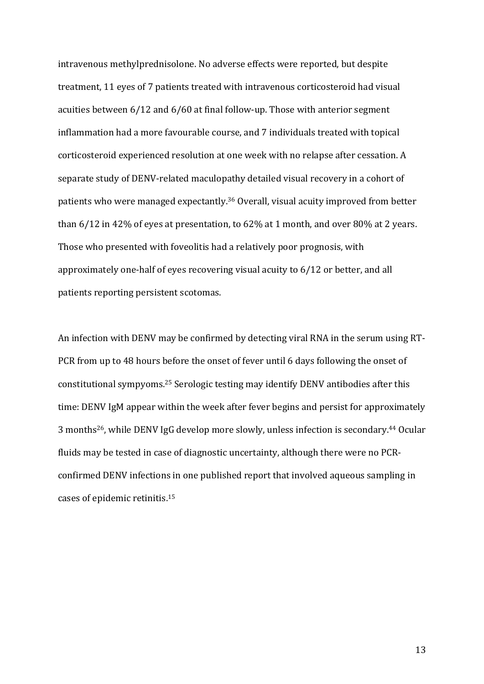intravenous methylprednisolone. No adverse effects were reported, but despite treatment, 11 eyes of 7 patients treated with intravenous corticosteroid had visual acuities between  $6/12$  and  $6/60$  at final follow-up. Those with anterior segment inflammation had a more favourable course, and 7 individuals treated with topical corticosteroid experienced resolution at one week with no relapse after cessation. A separate study of DENV-related maculopathy detailed visual recovery in a cohort of patients who were managed expectantly.<sup>36</sup> Overall, visual acuity improved from better than  $6/12$  in  $42\%$  of eyes at presentation, to  $62\%$  at 1 month, and over  $80\%$  at 2 years. Those who presented with foveolitis had a relatively poor prognosis, with approximately one-half of eyes recovering visual acuity to  $6/12$  or better, and all patients reporting persistent scotomas.

An infection with DENV may be confirmed by detecting viral RNA in the serum using RT-PCR from up to 48 hours before the onset of fever until 6 days following the onset of constitutional sympyoms.<sup>25</sup> Serologic testing may identify DENV antibodies after this time: DENV IgM appear within the week after fever begins and persist for approximately 3 months<sup>26</sup>, while DENV IgG develop more slowly, unless infection is secondary.<sup>44</sup> Ocular fluids may be tested in case of diagnostic uncertainty, although there were no PCRconfirmed DENV infections in one published report that involved aqueous sampling in cases of epidemic retinitis.<sup>15</sup>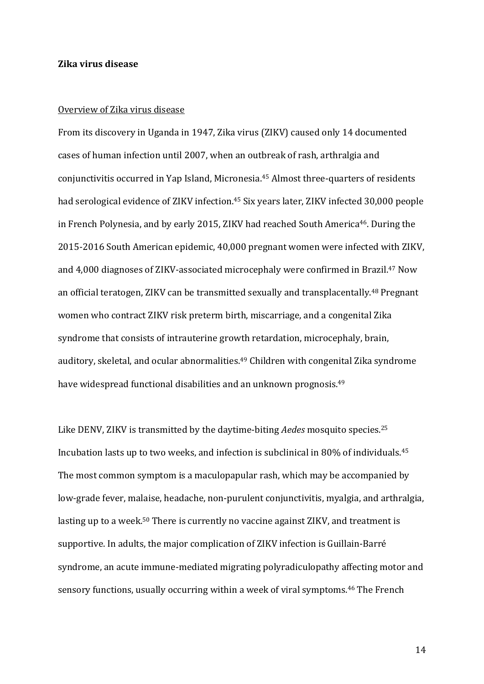## **Zika virus disease**

#### Overview of Zika virus disease

From its discovery in Uganda in 1947, Zika virus (ZIKV) caused only 14 documented cases of human infection until 2007, when an outbreak of rash, arthralgia and conjunctivitis occurred in Yap Island, Micronesia.<sup>45</sup> Almost three-quarters of residents had serological evidence of ZIKV infection.<sup>45</sup> Six years later, ZIKV infected 30,000 people in French Polynesia, and by early 2015, ZIKV had reached South America<sup>46</sup>. During the 2015-2016 South American epidemic, 40,000 pregnant women were infected with ZIKV, and 4,000 diagnoses of ZIKV-associated microcephaly were confirmed in Brazil.<sup>47</sup> Now an official teratogen, ZIKV can be transmitted sexually and transplacentally.<sup>48</sup> Pregnant women who contract ZIKV risk preterm birth, miscarriage, and a congenital Zika syndrome that consists of intrauterine growth retardation, microcephaly, brain, auditory, skeletal, and ocular abnormalities.<sup>49</sup> Children with congenital Zika syndrome have widespread functional disabilities and an unknown prognosis.<sup>49</sup>

Like DENV, ZIKV is transmitted by the daytime-biting *Aedes* mosquito species.<sup>25</sup> Incubation lasts up to two weeks, and infection is subclinical in 80% of individuals.<sup>45</sup> The most common symptom is a maculopapular rash, which may be accompanied by low-grade fever, malaise, headache, non-purulent conjunctivitis, myalgia, and arthralgia, lasting up to a week.<sup>50</sup> There is currently no vaccine against ZIKV, and treatment is supportive. In adults, the major complication of ZIKV infection is Guillain-Barré syndrome, an acute immune-mediated migrating polyradiculopathy affecting motor and sensory functions, usually occurring within a week of viral symptoms.<sup>46</sup> The French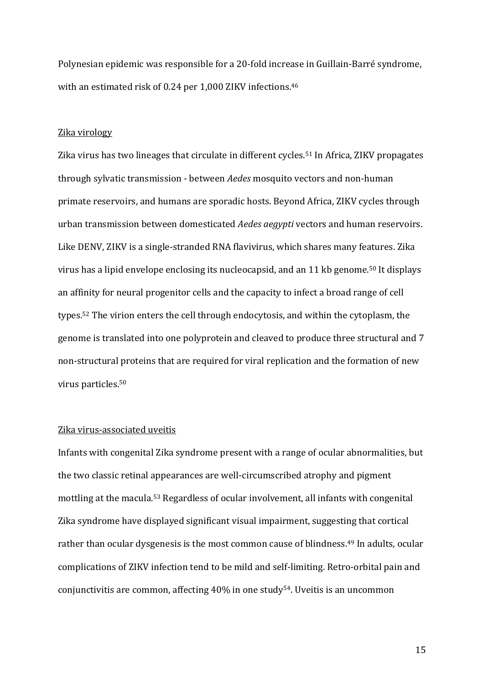Polynesian epidemic was responsible for a 20-fold increase in Guillain-Barré syndrome, with an estimated risk of 0.24 per 1,000 ZIKV infections. $46$ 

#### Zika virology

Zika virus has two lineages that circulate in different cycles.<sup>51</sup> In Africa, ZIKV propagates through sylvatic transmission - between *Aedes* mosquito vectors and non-human primate reservoirs, and humans are sporadic hosts. Beyond Africa, ZIKV cycles through urban transmission between domesticated *Aedes aegypti* vectors and human reservoirs. Like DENV, ZIKV is a single-stranded RNA flavivirus, which shares many features. Zika virus has a lipid envelope enclosing its nucleocapsid, and an 11 kb genome.<sup>50</sup> It displays an affinity for neural progenitor cells and the capacity to infect a broad range of cell types.<sup>52</sup> The virion enters the cell through endocytosis, and within the cytoplasm, the genome is translated into one polyprotein and cleaved to produce three structural and 7 non-structural proteins that are required for viral replication and the formation of new virus particles.<sup>50</sup>

## Zika virus-associated uveitis

Infants with congenital Zika syndrome present with a range of ocular abnormalities, but the two classic retinal appearances are well-circumscribed atrophy and pigment mottling at the macula.<sup>53</sup> Regardless of ocular involvement, all infants with congenital Zika syndrome have displayed significant visual impairment, suggesting that cortical rather than ocular dysgenesis is the most common cause of blindness.<sup>49</sup> In adults, ocular complications of ZIKV infection tend to be mild and self-limiting. Retro-orbital pain and conjunctivitis are common, affecting 40% in one study<sup>54</sup>. Uveitis is an uncommon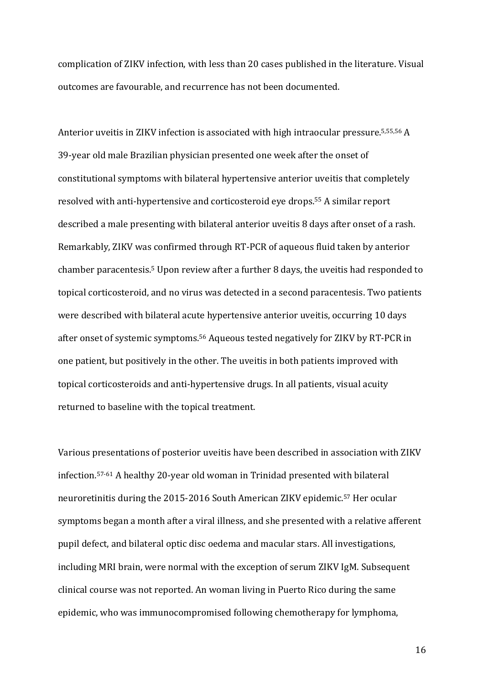complication of ZIKV infection, with less than 20 cases published in the literature. Visual outcomes are favourable, and recurrence has not been documented.

Anterior uveitis in ZIKV infection is associated with high intraocular pressure.<sup>5,55,56</sup> A 39-year old male Brazilian physician presented one week after the onset of constitutional symptoms with bilateral hypertensive anterior uveitis that completely resolved with anti-hypertensive and corticosteroid eye drops.<sup>55</sup> A similar report described a male presenting with bilateral anterior uveitis 8 days after onset of a rash. Remarkably, ZIKV was confirmed through RT-PCR of aqueous fluid taken by anterior chamber paracentesis.<sup>5</sup> Upon review after a further 8 days, the uveitis had responded to topical corticosteroid, and no virus was detected in a second paracentesis. Two patients were described with bilateral acute hypertensive anterior uveitis, occurring 10 days after onset of systemic symptoms.<sup>56</sup> Aqueous tested negatively for ZIKV by RT-PCR in one patient, but positively in the other. The uveitis in both patients improved with topical corticosteroids and anti-hypertensive drugs. In all patients, visual acuity returned to baseline with the topical treatment.

Various presentations of posterior uveitis have been described in association with ZIKV infection.<sup>57-61</sup> A healthy 20-year old woman in Trinidad presented with bilateral neuroretinitis during the 2015-2016 South American ZIKV epidemic.<sup>57</sup> Her ocular symptoms began a month after a viral illness, and she presented with a relative afferent pupil defect, and bilateral optic disc oedema and macular stars. All investigations, including MRI brain, were normal with the exception of serum ZIKV IgM. Subsequent clinical course was not reported. An woman living in Puerto Rico during the same epidemic, who was immunocompromised following chemotherapy for lymphoma,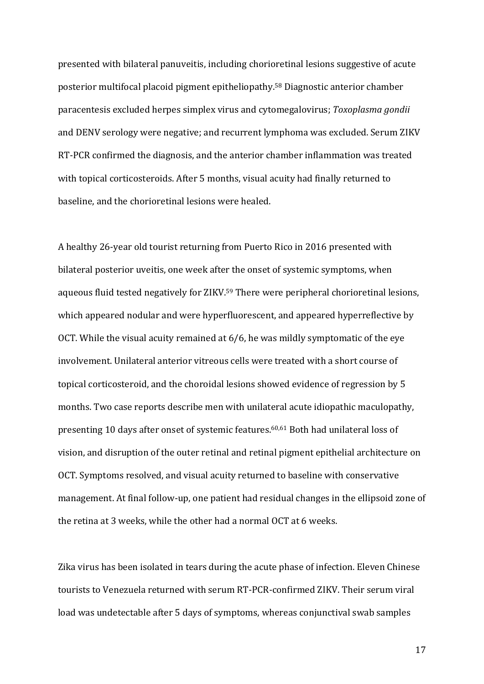presented with bilateral panuveitis, including chorioretinal lesions suggestive of acute posterior multifocal placoid pigment epitheliopathy.<sup>58</sup> Diagnostic anterior chamber paracentesis excluded herpes simplex virus and cytomegalovirus; *Toxoplasma gondii* and DENV serology were negative; and recurrent lymphoma was excluded. Serum ZIKV RT-PCR confirmed the diagnosis, and the anterior chamber inflammation was treated with topical corticosteroids. After 5 months, visual acuity had finally returned to baseline, and the chorioretinal lesions were healed.

A healthy 26-year old tourist returning from Puerto Rico in 2016 presented with bilateral posterior uveitis, one week after the onset of systemic symptoms, when aqueous fluid tested negatively for ZIKV.<sup>59</sup> There were peripheral chorioretinal lesions, which appeared nodular and were hyperfluorescent, and appeared hyperreflective by OCT. While the visual acuity remained at  $6/6$ , he was mildly symptomatic of the eye involvement. Unilateral anterior vitreous cells were treated with a short course of topical corticosteroid, and the choroidal lesions showed evidence of regression by 5 months. Two case reports describe men with unilateral acute idiopathic maculopathy, presenting 10 days after onset of systemic features.<sup>60,61</sup> Both had unilateral loss of vision, and disruption of the outer retinal and retinal pigment epithelial architecture on OCT. Symptoms resolved, and visual acuity returned to baseline with conservative management. At final follow-up, one patient had residual changes in the ellipsoid zone of the retina at  $3$  weeks, while the other had a normal OCT at  $6$  weeks.

Zika virus has been isolated in tears during the acute phase of infection. Eleven Chinese tourists to Venezuela returned with serum RT-PCR-confirmed ZIKV. Their serum viral load was undetectable after 5 days of symptoms, whereas conjunctival swab samples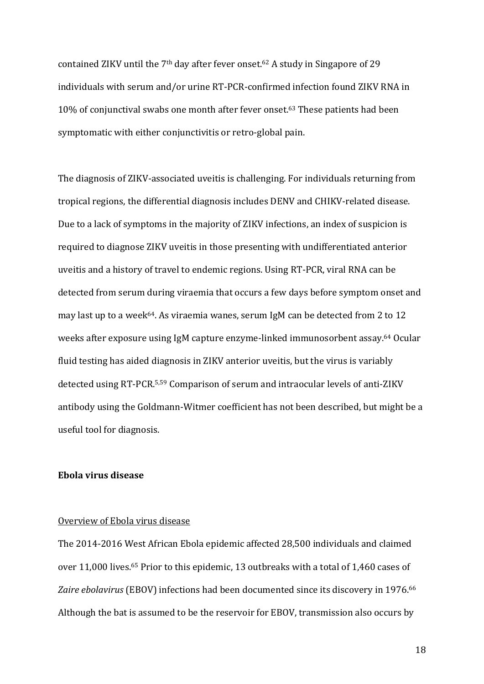contained ZIKV until the  $7<sup>th</sup>$  day after fever onset.<sup>62</sup> A study in Singapore of 29 individuals with serum and/or urine RT-PCR-confirmed infection found ZIKV RNA in 10% of conjunctival swabs one month after fever onset.<sup>63</sup> These patients had been symptomatic with either conjunctivitis or retro-global pain.

The diagnosis of ZIKV-associated uveitis is challenging. For individuals returning from tropical regions, the differential diagnosis includes DENV and CHIKV-related disease. Due to a lack of symptoms in the majority of ZIKV infections, an index of suspicion is required to diagnose ZIKV uveitis in those presenting with undifferentiated anterior uveitis and a history of travel to endemic regions. Using RT-PCR, viral RNA can be detected from serum during viraemia that occurs a few days before symptom onset and may last up to a week<sup>64</sup>. As viraemia wanes, serum IgM can be detected from 2 to 12 weeks after exposure using IgM capture enzyme-linked immunosorbent assay.<sup>64</sup> Ocular fluid testing has aided diagnosis in ZIKV anterior uveitis, but the virus is variably detected using RT-PCR.<sup>5,59</sup> Comparison of serum and intraocular levels of anti-ZIKV antibody using the Goldmann-Witmer coefficient has not been described, but might be a useful tool for diagnosis.

# **Ebola virus disease**

## Overview of Ebola virus disease

The 2014-2016 West African Ebola epidemic affected 28,500 individuals and claimed over 11,000 lives.<sup>65</sup> Prior to this epidemic, 13 outbreaks with a total of 1,460 cases of Zaire ebolavirus (EBOV) infections had been documented since its discovery in 1976.<sup>66</sup> Although the bat is assumed to be the reservoir for EBOV, transmission also occurs by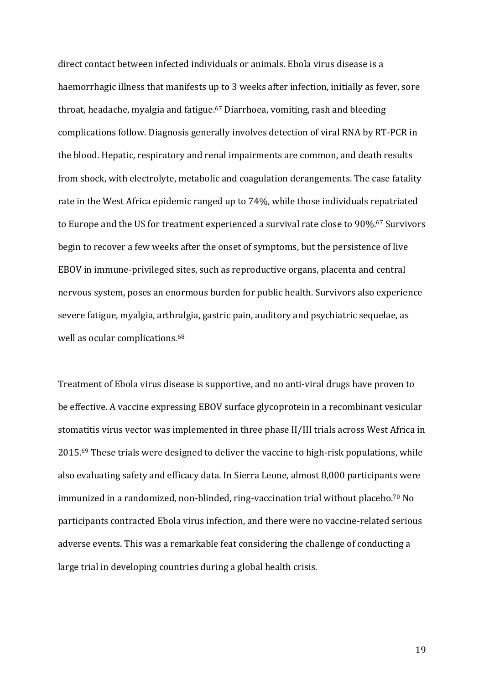direct contact between infected individuals or animals. Ebola virus disease is a haemorrhagic illness that manifests up to 3 weeks after infection, initially as fever, sore throat, headache, myalgia and fatigue.<sup>67</sup> Diarrhoea, vomiting, rash and bleeding complications follow. Diagnosis generally involves detection of viral RNA by RT-PCR in the blood. Hepatic, respiratory and renal impairments are common, and death results from shock, with electrolyte, metabolic and coagulation derangements. The case fatality rate in the West Africa epidemic ranged up to 74%, while those individuals repatriated to Europe and the US for treatment experienced a survival rate close to 90%.<sup>67</sup> Survivors begin to recover a few weeks after the onset of symptoms, but the persistence of live EBOV in immune-privileged sites, such as reproductive organs, placenta and central nervous system, poses an enormous burden for public health. Survivors also experience severe fatigue, myalgia, arthralgia, gastric pain, auditory and psychiatric sequelae, as well as ocular complications.<sup>68</sup>

Treatment of Ebola virus disease is supportive, and no anti-viral drugs have proven to be effective. A vaccine expressing EBOV surface glycoprotein in a recombinant vesicular stomatitis virus vector was implemented in three phase II/III trials across West Africa in 2015.<sup>69</sup> These trials were designed to deliver the vaccine to high-risk populations, while also evaluating safety and efficacy data. In Sierra Leone, almost 8,000 participants were immunized in a randomized, non-blinded, ring-vaccination trial without placebo.<sup>70</sup> No participants contracted Ebola virus infection, and there were no vaccine-related serious adverse events. This was a remarkable feat considering the challenge of conducting a large trial in developing countries during a global health crisis.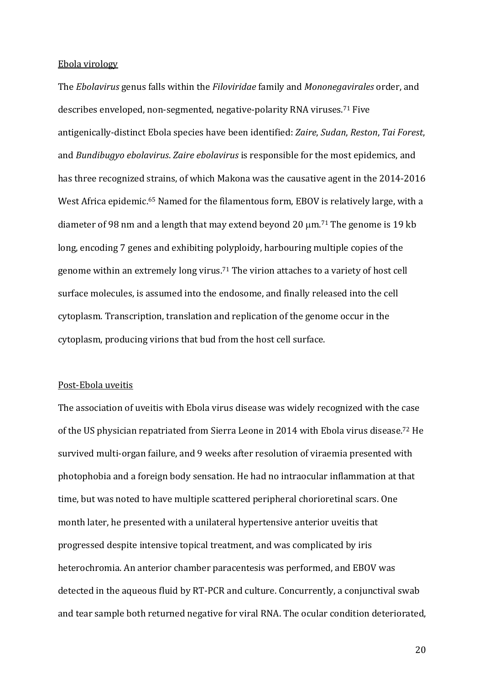#### Ebola virology

The *Ebolavirus* genus falls within the *Filoviridae* family and *Mononegavirales* order, and describes enveloped, non-segmented, negative-polarity RNA viruses.<sup>71</sup> Five antigenically-distinct Ebola species have been identified: *Zaire*, *Sudan*, *Reston*, *Tai Forest*, and *Bundibugyo ebolavirus. Zaire ebolavirus* is responsible for the most epidemics, and has three recognized strains, of which Makona was the causative agent in the 2014-2016 West Africa epidemic.<sup>65</sup> Named for the filamentous form, EBOV is relatively large, with a diameter of 98 nm and a length that may extend beyond 20  $\mu$ m.<sup>71</sup> The genome is 19 kb long, encoding 7 genes and exhibiting polyploidy, harbouring multiple copies of the genome within an extremely long virus.<sup>71</sup> The virion attaches to a variety of host cell surface molecules, is assumed into the endosome, and finally released into the cell cytoplasm. Transcription, translation and replication of the genome occur in the cytoplasm, producing virions that bud from the host cell surface.

#### Post-Ebola uveitis

The association of uveitis with Ebola virus disease was widely recognized with the case of the US physician repatriated from Sierra Leone in 2014 with Ebola virus disease.<sup>72</sup> He survived multi-organ failure, and 9 weeks after resolution of viraemia presented with photophobia and a foreign body sensation. He had no intraocular inflammation at that time, but was noted to have multiple scattered peripheral chorioretinal scars. One month later, he presented with a unilateral hypertensive anterior uveitis that progressed despite intensive topical treatment, and was complicated by iris heterochromia. An anterior chamber paracentesis was performed, and EBOV was detected in the aqueous fluid by RT-PCR and culture. Concurrently, a conjunctival swab and tear sample both returned negative for viral RNA. The ocular condition deteriorated,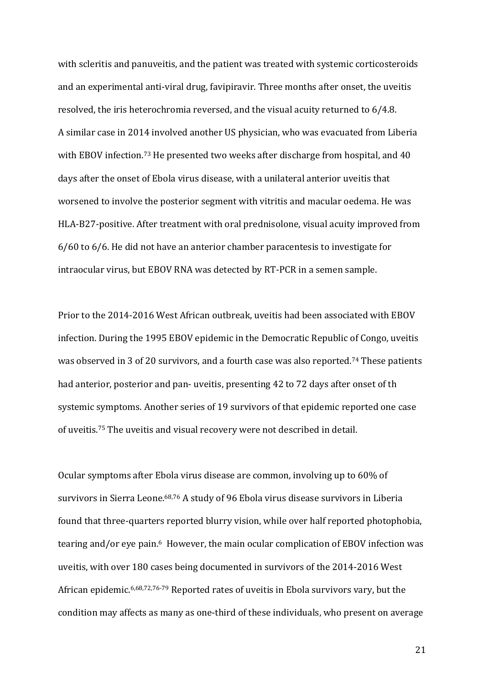with scleritis and panuveitis, and the patient was treated with systemic corticosteroids and an experimental anti-viral drug, favipiravir. Three months after onset, the uveitis resolved, the iris heterochromia reversed, and the visual acuity returned to 6/4.8. A similar case in 2014 involved another US physician, who was evacuated from Liberia with EBOV infection.<sup>73</sup> He presented two weeks after discharge from hospital, and  $40$ days after the onset of Ebola virus disease, with a unilateral anterior uveitis that worsened to involve the posterior segment with vitritis and macular oedema. He was HLA-B27-positive. After treatment with oral prednisolone, visual acuity improved from  $6/60$  to  $6/6$ . He did not have an anterior chamber paracentesis to investigate for intraocular virus, but EBOV RNA was detected by RT-PCR in a semen sample.

Prior to the 2014-2016 West African outbreak, uveitis had been associated with EBOV infection. During the 1995 EBOV epidemic in the Democratic Republic of Congo, uveitis was observed in 3 of 20 survivors, and a fourth case was also reported.<sup>74</sup> These patients had anterior, posterior and pan- uveitis, presenting 42 to 72 days after onset of th systemic symptoms. Another series of 19 survivors of that epidemic reported one case of uveitis.<sup>75</sup> The uveitis and visual recovery were not described in detail.

Ocular symptoms after Ebola virus disease are common, involving up to 60% of survivors in Sierra Leone.<sup>68,76</sup> A study of 96 Ebola virus disease survivors in Liberia found that three-quarters reported blurry vision, while over half reported photophobia, tearing and/or eye pain.<sup>6</sup> However, the main ocular complication of EBOV infection was uveitis, with over 180 cases being documented in survivors of the 2014-2016 West African epidemic.<sup>6,68,72,76-79</sup> Reported rates of uveitis in Ebola survivors vary, but the condition may affects as many as one-third of these individuals, who present on average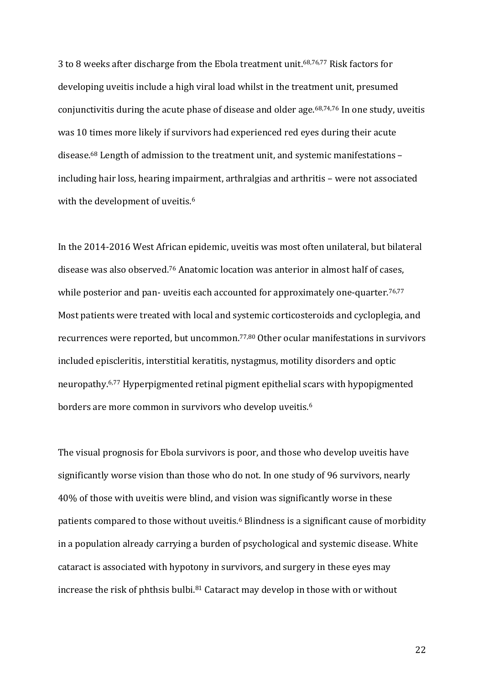3 to 8 weeks after discharge from the Ebola treatment unit.<sup>68,76,77</sup> Risk factors for developing uveitis include a high viral load whilst in the treatment unit, presumed conjunctivitis during the acute phase of disease and older age.<sup>68,74,76</sup> In one study, uveitis was 10 times more likely if survivors had experienced red eyes during their acute disease.<sup>68</sup> Length of admission to the treatment unit, and systemic manifestations including hair loss, hearing impairment, arthralgias and arthritis – were not associated with the development of uveitis.<sup>6</sup>

In the 2014-2016 West African epidemic, uveitis was most often unilateral, but bilateral disease was also observed.<sup>76</sup> Anatomic location was anterior in almost half of cases, while posterior and pan- uveitis each accounted for approximately one-quarter.<sup>76,77</sup> Most patients were treated with local and systemic corticosteroids and cycloplegia, and recurrences were reported, but uncommon.<sup>77,80</sup> Other ocular manifestations in survivors included episcleritis, interstitial keratitis, nystagmus, motility disorders and optic neuropathy.<sup>6,77</sup> Hyperpigmented retinal pigment epithelial scars with hypopigmented borders are more common in survivors who develop uveitis. $^6$ 

The visual prognosis for Ebola survivors is poor, and those who develop uveitis have significantly worse vision than those who do not. In one study of 96 survivors, nearly 40% of those with uveitis were blind, and vision was significantly worse in these patients compared to those without uveitis.<sup>6</sup> Blindness is a significant cause of morbidity in a population already carrying a burden of psychological and systemic disease. White cataract is associated with hypotony in survivors, and surgery in these eyes may increase the risk of phthsis bulbi. $81$  Cataract may develop in those with or without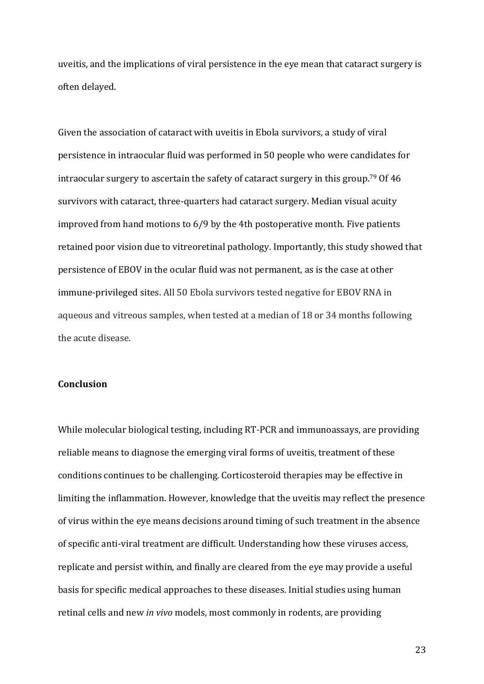uveitis, and the implications of viral persistence in the eye mean that cataract surgery is often delayed.

Given the association of cataract with uveitis in Ebola survivors, a study of viral persistence in intraocular fluid was performed in 50 people who were candidates for intraocular surgery to ascertain the safety of cataract surgery in this group.<sup>79</sup> Of  $46$ survivors with cataract, three-quarters had cataract surgery. Median visual acuity improved from hand motions to  $6/9$  by the 4th postoperative month. Five patients retained poor vision due to vitreoretinal pathology. Importantly, this study showed that persistence of EBOV in the ocular fluid was not permanent, as is the case at other immune-privileged sites. All 50 Ebola survivors tested negative for EBOV RNA in aqueous and vitreous samples, when tested at a median of 18 or 34 months following the acute disease.

## **Conclusion**

While molecular biological testing, including RT-PCR and immunoassays, are providing reliable means to diagnose the emerging viral forms of uveitis, treatment of these conditions continues to be challenging. Corticosteroid therapies may be effective in limiting the inflammation. However, knowledge that the uveitis may reflect the presence of virus within the eye means decisions around timing of such treatment in the absence of specific anti-viral treatment are difficult. Understanding how these viruses access, replicate and persist within, and finally are cleared from the eye may provide a useful basis for specific medical approaches to these diseases. Initial studies using human retinal cells and new *in vivo* models, most commonly in rodents, are providing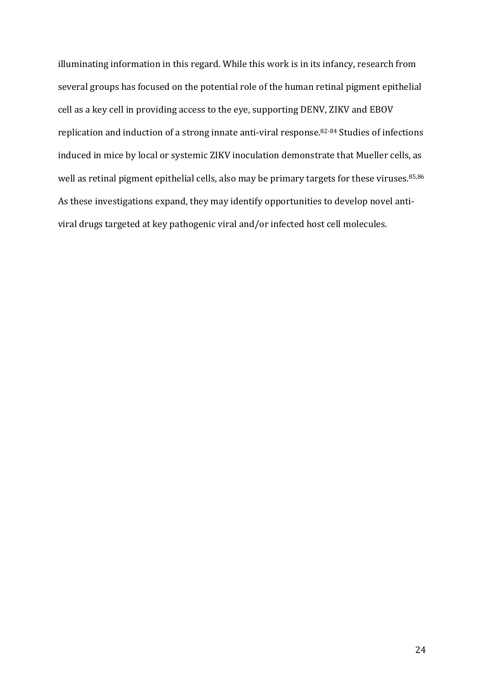illuminating information in this regard. While this work is in its infancy, research from several groups has focused on the potential role of the human retinal pigment epithelial cell as a key cell in providing access to the eye, supporting DENV, ZIKV and EBOV replication and induction of a strong innate anti-viral response.<sup>82-84</sup> Studies of infections induced in mice by local or systemic ZIKV inoculation demonstrate that Mueller cells, as well as retinal pigment epithelial cells, also may be primary targets for these viruses. $^{85,86}$ As these investigations expand, they may identify opportunities to develop novel antiviral drugs targeted at key pathogenic viral and/or infected host cell molecules.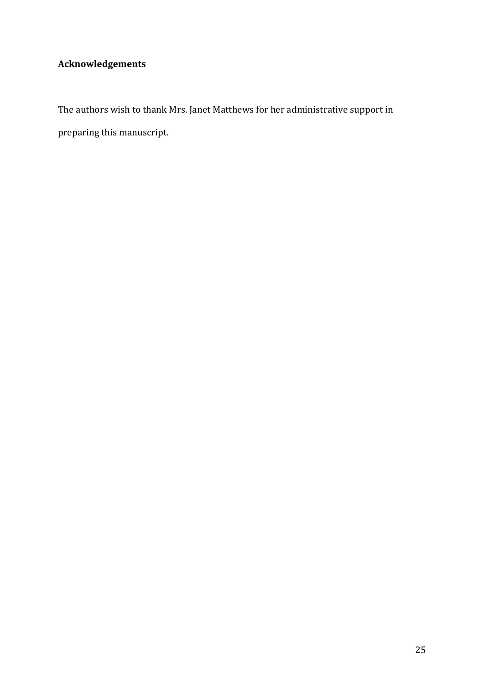# **Acknowledgements**

The authors wish to thank Mrs. Janet Matthews for her administrative support in preparing this manuscript.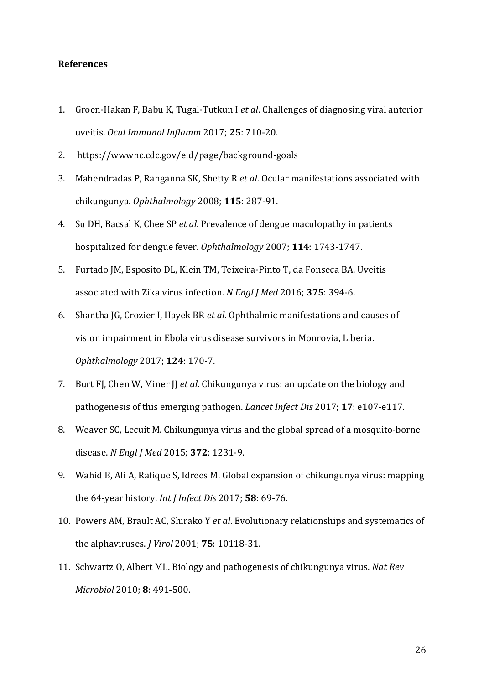## **References**

- 1. Groen-Hakan F, Babu K, Tugal-Tutkun I *et al*. Challenges of diagnosing viral anterior uveitis. *Ocul Immunol Inflamm* 2017; **25**: 710-20.
- 2. https://wwwnc.cdc.gov/eid/page/background-goals
- 3. Mahendradas P, Ranganna SK, Shetty R et al. Ocular manifestations associated with chikungunya. *Ophthalmology* 2008; **115**: 287-91.
- 4. Su DH, Bacsal K, Chee SP *et al*. Prevalence of dengue maculopathy in patients hospitalized for dengue fever. Ophthalmology 2007; 114: 1743-1747.
- 5. Furtado JM, Esposito DL, Klein TM, Teixeira-Pinto T, da Fonseca BA. Uveitis associated with Zika virus infection. *N Engl J Med* 2016; 375: 394-6.
- 6. Shantha JG, Crozier I, Hayek BR et al. Ophthalmic manifestations and causes of vision impairment in Ebola virus disease survivors in Monrovia, Liberia. *Ophthalmology* 2017; **124**: 170-7.
- 7. Burt FJ, Chen W, Miner JJ *et al*. Chikungunya virus: an update on the biology and pathogenesis of this emerging pathogen. *Lancet Infect Dis* 2017; **17**: e107-e117.
- 8. Weaver SC, Lecuit M. Chikungunya virus and the global spread of a mosquito-borne disease. *N Engl J Med* 2015; **372**: 1231-9.
- 9. Wahid B, Ali A, Rafique S, Idrees M. Global expansion of chikungunya virus: mapping the 64-year history. *Int J Infect Dis* 2017; **58**: 69-76.
- 10. Powers AM, Brault AC, Shirako Y *et al*. Evolutionary relationships and systematics of the alphaviruses. *J Virol* 2001; **75**: 10118-31.
- 11. Schwartz O, Albert ML. Biology and pathogenesis of chikungunya virus. *Nat Rev Microbiol* 2010; **8**: 491-500.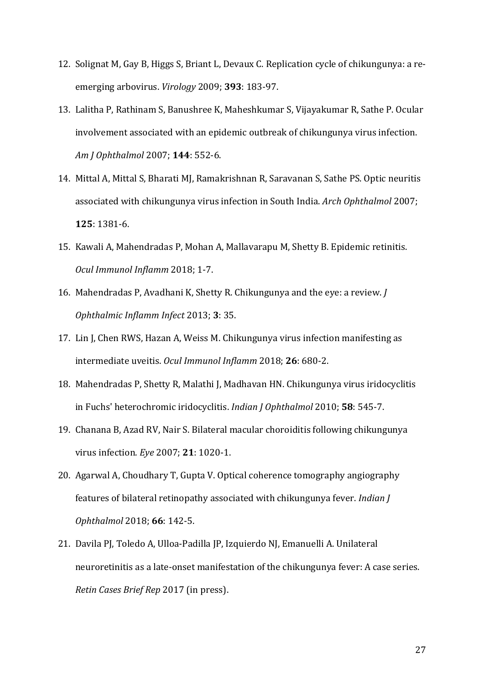- 12. Solignat M, Gay B, Higgs S, Briant L, Devaux C. Replication cycle of chikungunya: a reemerging arbovirus. *Virology* 2009; **393**: 183-97.
- 13. Lalitha P, Rathinam S, Banushree K, Maheshkumar S, Vijayakumar R, Sathe P. Ocular involvement associated with an epidemic outbreak of chikungunya virus infection. *Am J Ophthalmol* 2007; **144**: 552-6.
- 14. Mittal A, Mittal S, Bharati MJ, Ramakrishnan R, Saravanan S, Sathe PS. Optic neuritis associated with chikungunya virus infection in South India. *Arch Ophthalmol* 2007; **125**: 1381-6.
- 15. Kawali A, Mahendradas P, Mohan A, Mallavarapu M, Shetty B. Epidemic retinitis. *Ocul Immunol Inflamm* 2018; 1-7.
- 16. Mahendradas P, Avadhani K, Shetty R. Chikungunya and the eye: a review. *J Ophthalmic Inflamm Infect* 2013; **3**: 35.
- 17. Lin J, Chen RWS, Hazan A, Weiss M. Chikungunya virus infection manifesting as intermediate uveitis. Ocul Immunol Inflamm 2018; 26: 680-2.
- 18. Mahendradas P, Shetty R, Malathi J, Madhavan HN. Chikungunya virus iridocyclitis in Fuchs' heterochromic iridocyclitis. *Indian J Ophthalmol* 2010; **58**: 545-7.
- 19. Chanana B, Azad RV, Nair S. Bilateral macular choroiditis following chikungunya virus infection. *Eye* 2007; **21**: 1020-1.
- 20. Agarwal A, Choudhary T, Gupta V. Optical coherence tomography angiography features of bilateral retinopathy associated with chikungunya fever. *Indian J Ophthalmol* 2018; **66**: 142-5.
- 21. Davila PJ, Toledo A, Ulloa-Padilla JP, Izquierdo NJ, Emanuelli A. Unilateral neuroretinitis as a late-onset manifestation of the chikungunya fever: A case series. *Retin Cases Brief Rep* 2017 (in press).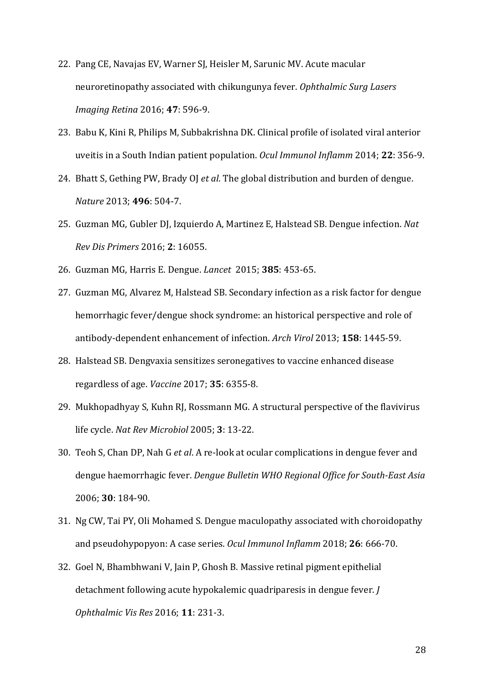- 22. Pang CE, Navajas EV, Warner SJ, Heisler M, Sarunic MV. Acute macular neuroretinopathy associated with chikungunya fever. Ophthalmic Surg Lasers *Imaging Retina* 2016; **47**: 596-9.
- 23. Babu K, Kini R, Philips M, Subbakrishna DK. Clinical profile of isolated viral anterior uveitis in a South Indian patient population. *Ocul Immunol Inflamm* 2014; 22: 356-9.
- 24. Bhatt S, Gething PW, Brady OJ *et al*. The global distribution and burden of dengue. *Nature* 2013; **496**: 504-7.
- 25. Guzman MG, Gubler DJ, Izquierdo A, Martinez E, Halstead SB. Dengue infection. Nat *Rev Dis Primers* 2016; **2**: 16055.
- 26. Guzman MG, Harris E. Dengue. *Lancet*  2015; **385**: 453-65.
- 27. Guzman MG, Alvarez M, Halstead SB. Secondary infection as a risk factor for dengue hemorrhagic fever/dengue shock syndrome: an historical perspective and role of antibody-dependent enhancement of infection. *Arch Virol* 2013; **158**: 1445-59.
- 28. Halstead SB. Dengvaxia sensitizes seronegatives to vaccine enhanced disease regardless of age. *Vaccine* 2017; **35**: 6355-8.
- 29. Mukhopadhyay S, Kuhn RJ, Rossmann MG. A structural perspective of the flavivirus life cycle. *Nat Rev Microbiol* 2005; **3**: 13-22.
- 30. Teoh S, Chan DP, Nah G et al. A re-look at ocular complications in dengue fever and dengue haemorrhagic fever. *Dengue Bulletin WHO Regional Office for South-East Asia* 2006; **30**: 184-90.
- 31. Ng CW, Tai PY, Oli Mohamed S. Dengue maculopathy associated with choroidopathy and pseudohypopyon: A case series. *Ocul Immunol Inflamm* 2018; 26: 666-70.
- 32. Goel N, Bhambhwani V, Jain P, Ghosh B. Massive retinal pigment epithelial detachment following acute hypokalemic quadriparesis in dengue fever. *J Ophthalmic Vis Res* 2016; **11**: 231-3.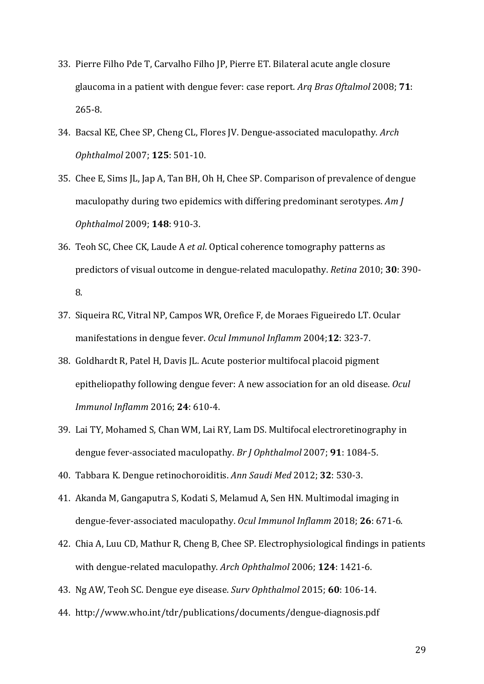- 33. Pierre Filho Pde T, Carvalho Filho JP, Pierre ET. Bilateral acute angle closure glaucoma in a patient with dengue fever: case report. *Arg Bras Oftalmol* 2008; **71**: 265-8.
- 34. Bacsal KE, Chee SP, Cheng CL, Flores *IV. Dengue-associated maculopathy. Arch Ophthalmol* 2007; **125**: 501-10.
- 35. Chee E, Sims JL, Jap A, Tan BH, Oh H, Chee SP. Comparison of prevalence of dengue maculopathy during two epidemics with differing predominant serotypes. Am *J Ophthalmol* 2009; **148**: 910-3.
- 36. Teoh SC, Chee CK, Laude A *et al*. Optical coherence tomography patterns as predictors of visual outcome in dengue-related maculopathy. *Retina* 2010; **30**: 390-8.
- 37. Siqueira RC, Vitral NP, Campos WR, Orefice F, de Moraes Figueiredo LT. Ocular manifestations in dengue fever. Ocul Immunol Inflamm 2004;12: 323-7.
- 38. Goldhardt R, Patel H, Davis JL. Acute posterior multifocal placoid pigment epitheliopathy following dengue fever: A new association for an old disease. *Ocul Immunol Inflamm* 2016; **24**: 610-4.
- 39. Lai TY, Mohamed S, Chan WM, Lai RY, Lam DS. Multifocal electroretinography in dengue fever-associated maculopathy. Br J Ophthalmol 2007; 91: 1084-5.
- 40. Tabbara K. Dengue retinochoroiditis. *Ann Saudi Med* 2012; **32**: 530-3.
- 41. Akanda M, Gangaputra S, Kodati S, Melamud A, Sen HN. Multimodal imaging in dengue-fever-associated maculopathy. *Ocul Immunol Inflamm* 2018; **26**: 671-6.
- 42. Chia A, Luu CD, Mathur R, Cheng B, Chee SP. Electrophysiological findings in patients with dengue-related maculopathy. Arch Ophthalmol 2006; 124: 1421-6.
- 43. Ng AW, Teoh SC. Dengue eye disease. *Surv Ophthalmol* 2015; **60**: 106-14.
- 44. http://www.who.int/tdr/publications/documents/dengue-diagnosis.pdf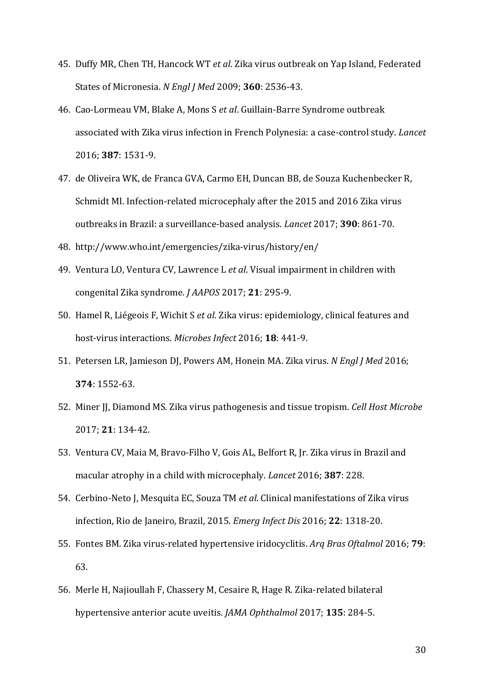- 45. Duffy MR, Chen TH, Hancock WT et al. Zika virus outbreak on Yap Island, Federated States of Micronesia. *N Engl J Med* 2009; **360**: 2536-43.
- 46. Cao-Lormeau VM, Blake A, Mons S et al. Guillain-Barre Syndrome outbreak associated with Zika virus infection in French Polynesia: a case-control study. *Lancet* 2016; **387**: 1531-9.
- 47. de Oliveira WK, de Franca GVA, Carmo EH, Duncan BB, de Souza Kuchenbecker R, Schmidt MI. Infection-related microcephaly after the 2015 and 2016 Zika virus outbreaks in Brazil: a surveillance-based analysis. *Lancet* 2017; **390**: 861-70.
- 48. http://www.who.int/emergencies/zika-virus/history/en/
- 49. Ventura LO, Ventura CV, Lawrence L et al. Visual impairment in children with congenital Zika syndrome. *J AAPOS* 2017; **21**: 295-9.
- 50. Hamel R, Liégeois F, Wichit S et al. Zika virus: epidemiology, clinical features and host-virus interactions. *Microbes Infect* 2016; **18**: 441-9.
- 51. Petersen LR, Jamieson DJ, Powers AM, Honein MA. Zika virus. *N Engl J Med* 2016; **374**: 1552-63.
- 52. Miner II, Diamond MS. Zika virus pathogenesis and tissue tropism. *Cell Host Microbe* 2017; **21**: 134-42.
- 53. Ventura CV, Maia M, Bravo-Filho V, Gois AL, Belfort R, Jr. Zika virus in Brazil and macular atrophy in a child with microcephaly. *Lancet* 2016; **387**: 228.
- 54. Cerbino-Neto J, Mesquita EC, Souza TM *et al*. Clinical manifestations of Zika virus infection, Rio de Janeiro, Brazil, 2015. *Emerg Infect Dis* 2016; **22**: 1318-20.
- 55. Fontes BM. Zika virus-related hypertensive iridocyclitis. *Arq Bras Oftalmol* 2016; **79**: 63.
- 56. Merle H, Najioullah F, Chassery M, Cesaire R, Hage R. Zika-related bilateral hypertensive anterior acute uveitis. *JAMA Ophthalmol* 2017; **135**: 284-5.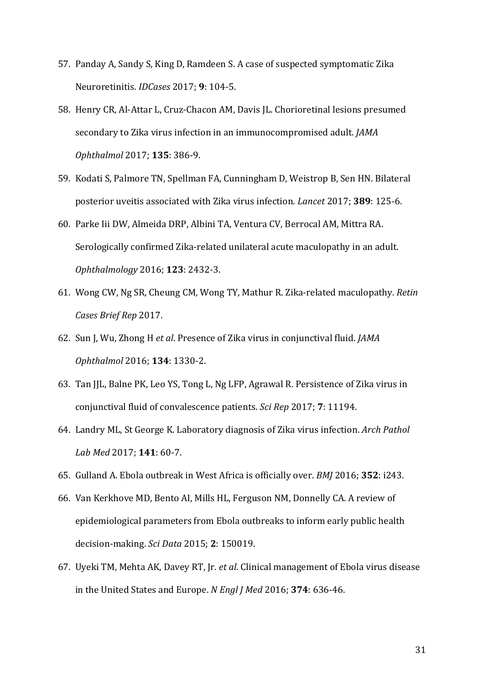- 57. Panday A, Sandy S, King D, Ramdeen S. A case of suspected symptomatic Zika Neuroretinitis. *IDCases* 2017; **9**: 104-5.
- 58. Henry CR, Al-Attar L, Cruz-Chacon AM, Davis JL. Chorioretinal lesions presumed secondary to Zika virus infection in an immunocompromised adult. *JAMA Ophthalmol* 2017; **135**: 386-9.
- 59. Kodati S, Palmore TN, Spellman FA, Cunningham D, Weistrop B, Sen HN. Bilateral posterior uveitis associated with Zika virus infection. *Lancet* 2017; 389: 125-6.
- 60. Parke Iii DW, Almeida DRP, Albini TA, Ventura CV, Berrocal AM, Mittra RA. Serologically confirmed Zika-related unilateral acute maculopathy in an adult. *Ophthalmology* 2016; **123**: 2432-3.
- 61. Wong CW, Ng SR, Cheung CM, Wong TY, Mathur R. Zika-related maculopathy. Retin *Cases Brief Rep* 2017.
- 62. Sun J, Wu, Zhong H et al. Presence of Zika virus in conjunctival fluid. *JAMA Ophthalmol* 2016; **134**: 1330-2.
- 63. Tan JJL, Balne PK, Leo YS, Tong L, Ng LFP, Agrawal R. Persistence of Zika virus in conjunctival fluid of convalescence patients. *Sci Rep* 2017; **7**: 11194.
- 64. Landry ML, St George K. Laboratory diagnosis of Zika virus infection. Arch Pathol *Lab Med* 2017; **141**: 60-7.
- 65. Gulland A. Ebola outbreak in West Africa is officially over. *BMJ* 2016; **352**: i243.
- 66. Van Kerkhove MD, Bento AI, Mills HL, Ferguson NM, Donnelly CA. A review of epidemiological parameters from Ebola outbreaks to inform early public health decision-making. *Sci Data* 2015; **2**: 150019.
- 67. Uyeki TM, Mehta AK, Davey RT, Jr. *et al*. Clinical management of Ebola virus disease in the United States and Europe. N Engl J Med 2016; 374: 636-46.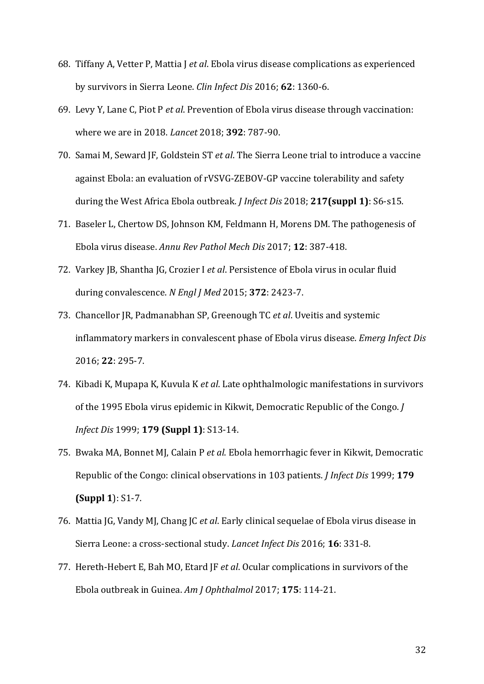- 68. Tiffany A, Vetter P, Mattia J et al. Ebola virus disease complications as experienced by survivors in Sierra Leone. *Clin Infect Dis* 2016; **62**: 1360-6.
- 69. Levy Y, Lane C, Piot P *et al*. Prevention of Ebola virus disease through vaccination: where we are in 2018. *Lancet* 2018: **392**: 787-90.
- 70. Samai M, Seward JF, Goldstein ST et al. The Sierra Leone trial to introduce a vaccine against Ebola: an evaluation of rVSVG-ZEBOV-GP vaccine tolerability and safety during the West Africa Ebola outbreak. *J Infect Dis* 2018; 217(suppl 1): S6-s15.
- 71. Baseler L, Chertow DS, Johnson KM, Feldmann H, Morens DM. The pathogenesis of Ebola virus disease. *Annu Rev Pathol Mech Dis* 2017; **12**: 387-418.
- 72. Varkey JB, Shantha JG, Crozier I et al. Persistence of Ebola virus in ocular fluid during convalescence. *N Engl J Med* 2015; **372**: 2423-7.
- 73. Chancellor JR, Padmanabhan SP, Greenough TC et al. Uveitis and systemic inflammatory markers in convalescent phase of Ebola virus disease. *Emerg Infect Dis* 2016; **22**: 295-7.
- 74. Kibadi K, Mupapa K, Kuvula K et al. Late ophthalmologic manifestations in survivors of the 1995 Ebola virus epidemic in Kikwit, Democratic Republic of the Congo. *J Infect Dis* 1999; **179 (Suppl 1)**: S13-14.
- 75. Bwaka MA, Bonnet MJ, Calain P et al. Ebola hemorrhagic fever in Kikwit, Democratic Republic of the Congo: clinical observations in 103 patients. *J Infect Dis* 1999; 179 **(Suppl 1): S1-7.**
- 76. Mattia JG, Vandy MJ, Chang JC *et al*. Early clinical sequelae of Ebola virus disease in Sierra Leone: a cross-sectional study. *Lancet Infect Dis* 2016; **16**: 331-8.
- 77. Hereth-Hebert E, Bah MO, Etard JF et al. Ocular complications in survivors of the Ebola outbreak in Guinea. *Am J Ophthalmol* 2017; 175: 114-21.